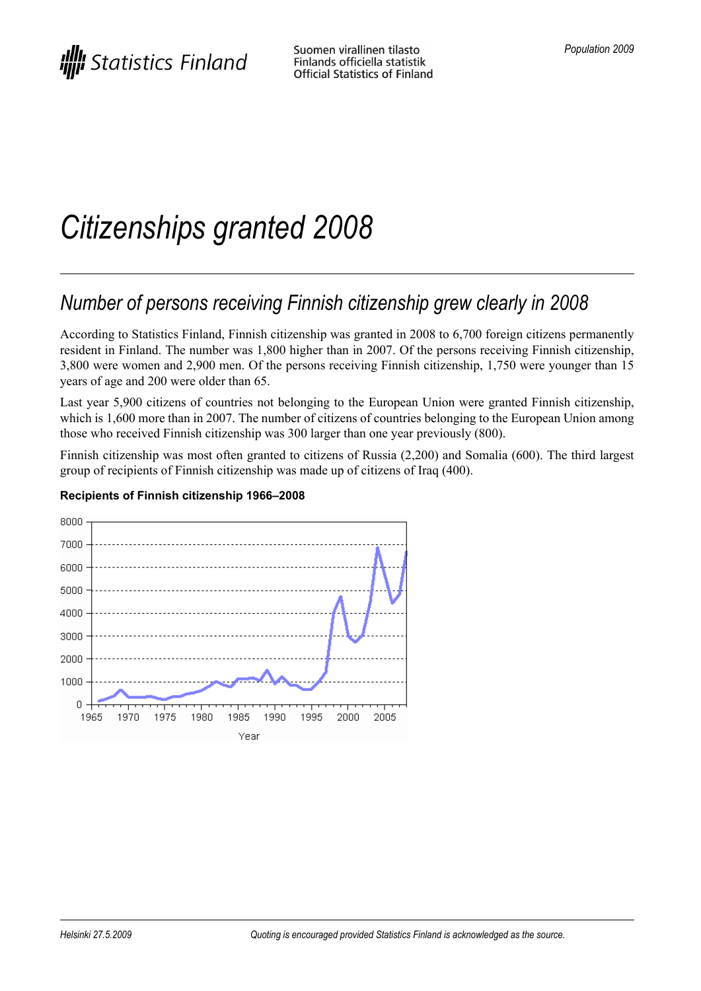# *Citizenships granted 2008*

# *Number of persons receiving Finnish citizenship grew clearly in 2008*

According to Statistics Finland, Finnish citizenship was granted in 2008 to 6,700 foreign citizens permanently resident in Finland. The number was 1,800 higher than in 2007. Of the persons receiving Finnish citizenship, 3,800 were women and 2,900 men. Of the persons receiving Finnish citizenship, 1,750 were younger than 15 years of age and 200 were older than 65.

Last year 5,900 citizens of countries not belonging to the European Union were granted Finnish citizenship, which is 1,600 more than in 2007. The number of citizens of countries belonging to the European Union among those who received Finnish citizenship was 300 larger than one year previously (800).

Finnish citizenship was most often granted to citizens of Russia (2,200) and Somalia (600). The third largest group of recipients of Finnish citizenship was made up of citizens of Iraq (400).



#### **Recipients of Finnish citizenship 1966–2008**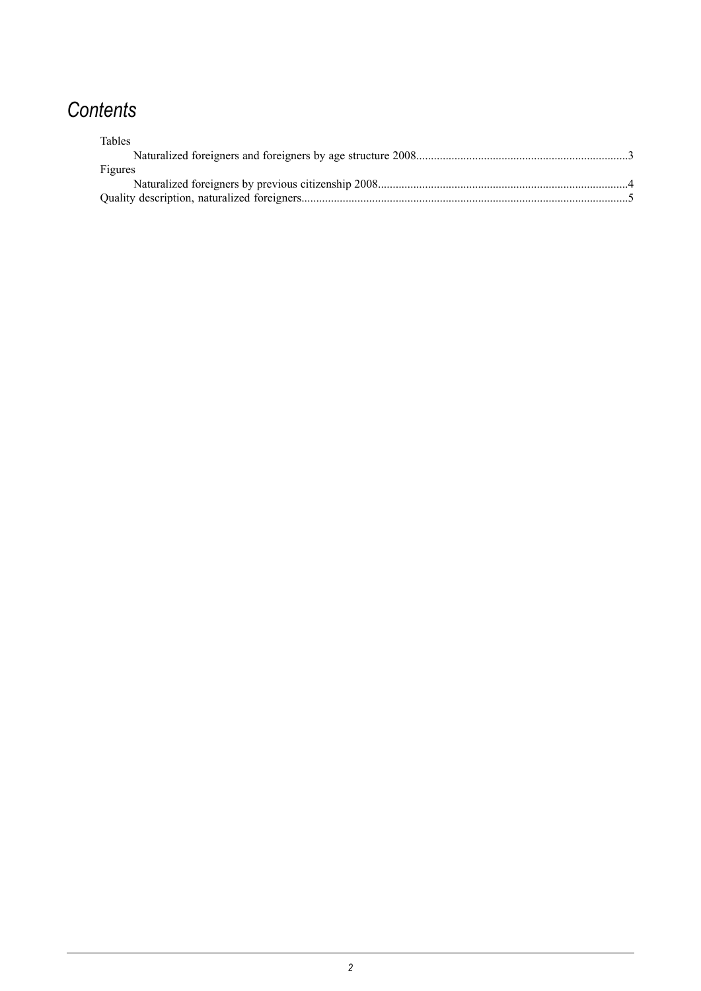# *Contents*

| <b>Tables</b> |  |
|---------------|--|
|               |  |
| Figures       |  |
|               |  |
|               |  |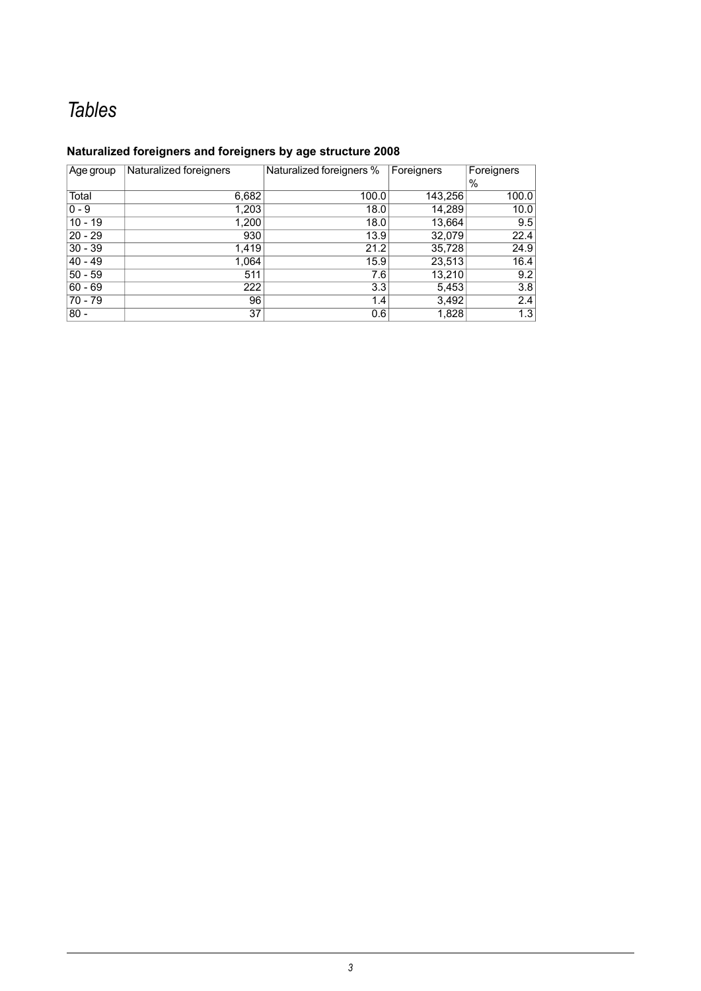# *Tables*

#### <span id="page-2-0"></span>**Naturalized foreigners and foreigners by age structure 2008**

| Age group | Naturalized foreigners | Naturalized foreigners % | Foreigners | Foreigners |
|-----------|------------------------|--------------------------|------------|------------|
|           |                        |                          |            | $\%$       |
| Total     | 6,682                  | 100.0                    | 143,256    | 100.0      |
| $0 - 9$   | 1,203                  | 18.0                     | 14,289     | 10.0       |
| $10 - 19$ | 1,200                  | 18.0                     | 13,664     | 9.5        |
| $20 - 29$ | 930                    | 13.9                     | 32,079     | 22.4       |
| $30 - 39$ | 1,419                  | 21.2                     | 35,728     | 24.9       |
| $40 - 49$ | 1,064                  | 15.9                     | 23,513     | 16.4       |
| $50 - 59$ | 511                    | 7.6                      | 13,210     | 9.2        |
| $60 - 69$ | 222                    | 3.3                      | 5,453      | 3.8        |
| 70 - 79   | 96                     | 1.4                      | 3,492      | 2.4        |
| $80 -$    | 37                     | 0.6                      | 1,828      | 1.3        |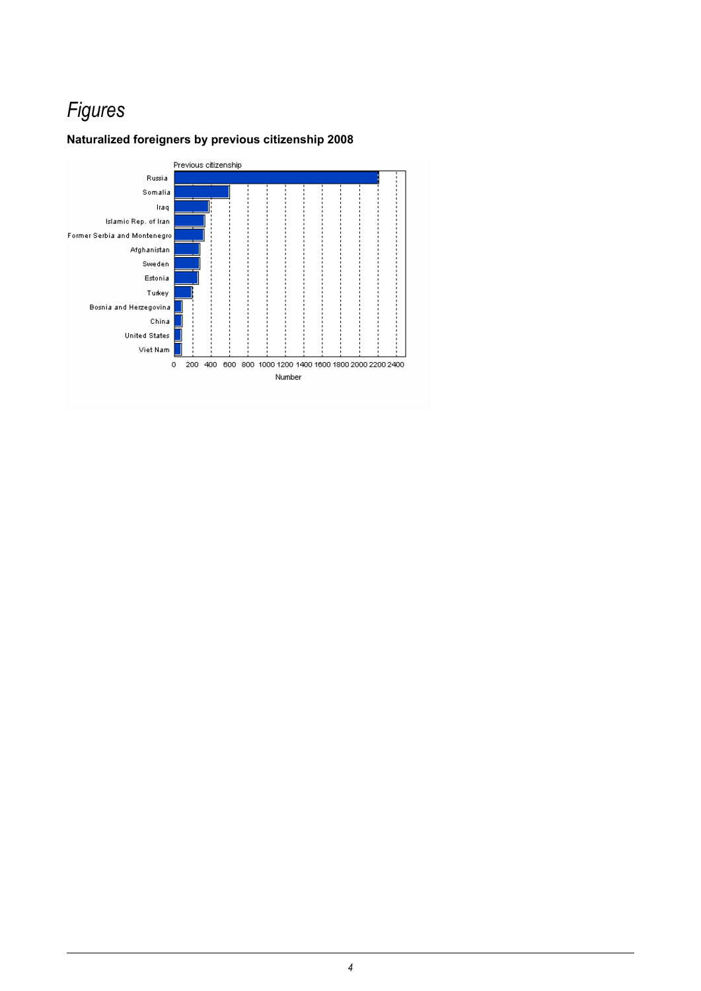# *Figures*

#### <span id="page-3-0"></span>**Naturalized foreigners by previous citizenship 2008**

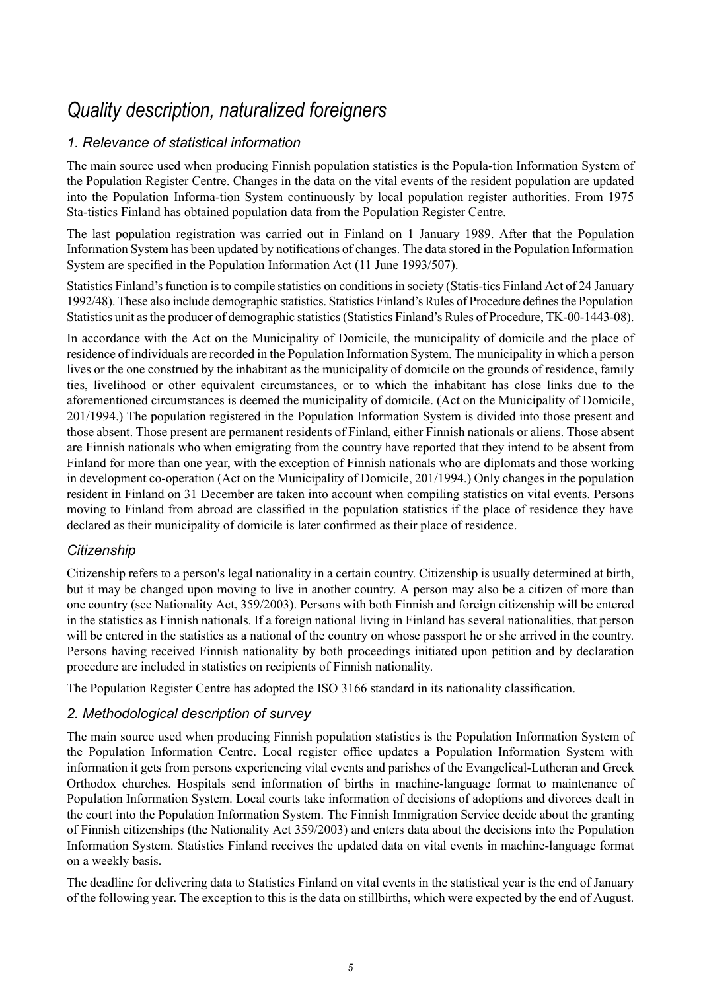### *Quality description, naturalized foreigners*

#### <span id="page-4-0"></span>*1. Relevance of statistical information*

The main source used when producing Finnish population statistics is the Popula-tion Information System of the Population Register Centre. Changes in the data on the vital events of the resident population are updated into the Population Informa-tion System continuously by local population register authorities. From 1975 Sta-tistics Finland has obtained population data from the Population Register Centre.

The last population registration was carried out in Finland on 1 January 1989. After that the Population Information System has been updated by notifications of changes. The data stored in the Population Information System are specified in the Population Information Act (11 June 1993/507).

Statistics Finland's function is to compile statistics on conditions in society (Statis-tics Finland Act of 24 January 1992/48). These also include demographic statistics. Statistics Finland's Rules of Procedure definesthe Population Statistics unit asthe producer of demographic statistics(Statistics Finland's Rules of Procedure, TK-00-1443-08).

In accordance with the Act on the Municipality of Domicile, the municipality of domicile and the place of residence of individuals are recorded in the Population Information System. The municipality in which a person lives or the one construed by the inhabitant as the municipality of domicile on the grounds of residence, family ties, livelihood or other equivalent circumstances, or to which the inhabitant has close links due to the aforementioned circumstances is deemed the municipality of domicile. (Act on the Municipality of Domicile, 201/1994.) The population registered in the Population Information System is divided into those present and those absent. Those present are permanent residents of Finland, either Finnish nationals or aliens. Those absent are Finnish nationals who when emigrating from the country have reported that they intend to be absent from Finland for more than one year, with the exception of Finnish nationals who are diplomats and those working in development co-operation (Act on the Municipality of Domicile, 201/1994.) Only changes in the population resident in Finland on 31 December are taken into account when compiling statistics on vital events. Persons moving to Finland from abroad are classified in the population statistics if the place of residence they have declared as their municipality of domicile is later confirmed as their place of residence.

#### *Citizenship*

Citizenship refers to a person's legal nationality in a certain country. Citizenship is usually determined at birth, but it may be changed upon moving to live in another country. A person may also be a citizen of more than one country (see Nationality Act, 359/2003). Persons with both Finnish and foreign citizenship will be entered in the statistics as Finnish nationals. If a foreign national living in Finland has several nationalities, that person will be entered in the statistics as a national of the country on whose passport he or she arrived in the country. Persons having received Finnish nationality by both proceedings initiated upon petition and by declaration procedure are included in statistics on recipients of Finnish nationality.

The Population Register Centre has adopted the ISO 3166 standard in its nationality classification.

#### *2. Methodological description of survey*

The main source used when producing Finnish population statistics is the Population Information System of the Population Information Centre. Local register office updates a Population Information System with information it gets from persons experiencing vital events and parishes of the Evangelical-Lutheran and Greek Orthodox churches. Hospitals send information of births in machine-language format to maintenance of Population Information System. Local courts take information of decisions of adoptions and divorces dealt in the court into the Population Information System. The Finnish Immigration Service decide about the granting of Finnish citizenships (the Nationality Act 359/2003) and enters data about the decisions into the Population Information System. Statistics Finland receives the updated data on vital events in machine-language format on a weekly basis.

The deadline for delivering data to Statistics Finland on vital events in the statistical year is the end of January of the following year. The exception to this is the data on stillbirths, which were expected by the end of August.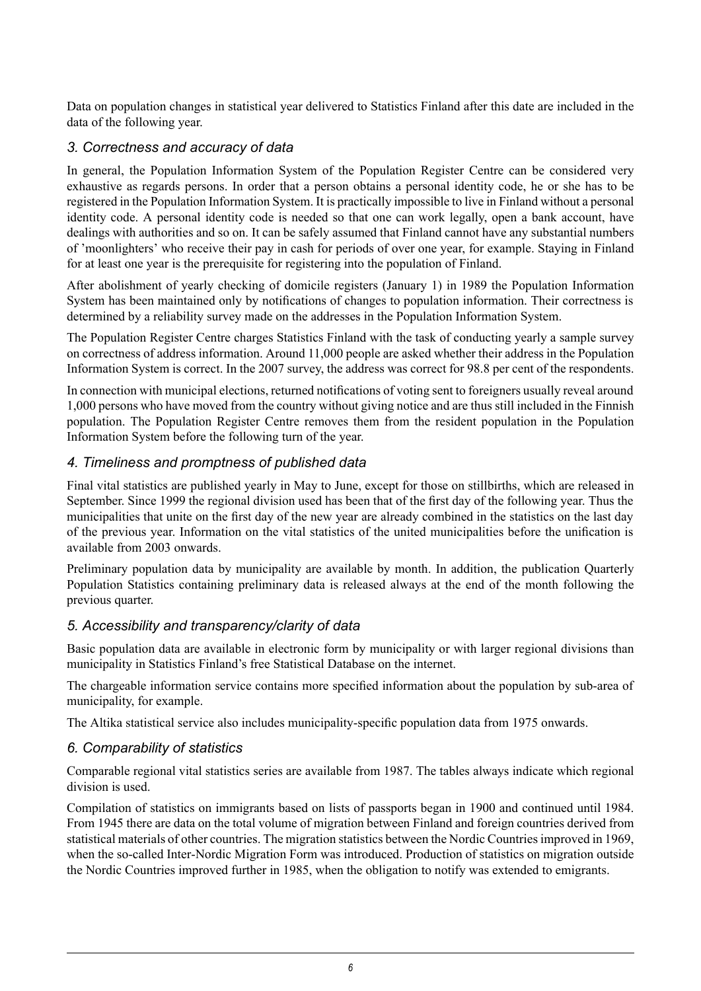Data on population changes in statistical year delivered to Statistics Finland after this date are included in the data of the following year.

#### *3. Correctness and accuracy of data*

In general, the Population Information System of the Population Register Centre can be considered very exhaustive as regards persons. In order that a person obtains a personal identity code, he or she has to be registered in the Population Information System. It is practically impossible to live in Finland without a personal identity code. A personal identity code is needed so that one can work legally, open a bank account, have dealings with authorities and so on. It can be safely assumed that Finland cannot have any substantial numbers of 'moonlighters' who receive their pay in cash for periods of over one year, for example. Staying in Finland for at least one year is the prerequisite for registering into the population of Finland.

After abolishment of yearly checking of domicile registers (January 1) in 1989 the Population Information System has been maintained only by notifications of changes to population information. Their correctness is determined by a reliability survey made on the addresses in the Population Information System.

The Population Register Centre charges Statistics Finland with the task of conducting yearly a sample survey on correctness of address information. Around 11,000 people are asked whether their address in the Population Information System is correct. In the 2007 survey, the address was correct for 98.8 per cent of the respondents.

In connection with municipal elections, returned notifications of voting sent to foreigners usually reveal around 1,000 persons who have moved from the country without giving notice and are thus still included in the Finnish population. The Population Register Centre removes them from the resident population in the Population Information System before the following turn of the year.

#### *4. Timeliness and promptness of published data*

Final vital statistics are published yearly in May to June, except for those on stillbirths, which are released in September. Since 1999 the regional division used has been that of the first day of the following year. Thus the municipalities that unite on the first day of the new year are already combined in the statistics on the last day of the previous year. Information on the vital statistics of the united municipalities before the unification is available from 2003 onwards.

Preliminary population data by municipality are available by month. In addition, the publication Quarterly Population Statistics containing preliminary data is released always at the end of the month following the previous quarter.

#### *5. Accessibility and transparency/clarity of data*

Basic population data are available in electronic form by municipality or with larger regional divisions than municipality in Statistics Finland's free Statistical Database on the internet.

The chargeable information service contains more specified information about the population by sub-area of municipality, for example.

The Altika statistical service also includes municipality-specific population data from 1975 onwards.

#### *6. Comparability of statistics*

Comparable regional vital statistics series are available from 1987. The tables always indicate which regional division is used.

Compilation of statistics on immigrants based on lists of passports began in 1900 and continued until 1984. From 1945 there are data on the total volume of migration between Finland and foreign countries derived from statistical materials of other countries. The migration statistics between the Nordic Countriesimproved in 1969, when the so-called Inter-Nordic Migration Form was introduced. Production of statistics on migration outside the Nordic Countries improved further in 1985, when the obligation to notify was extended to emigrants.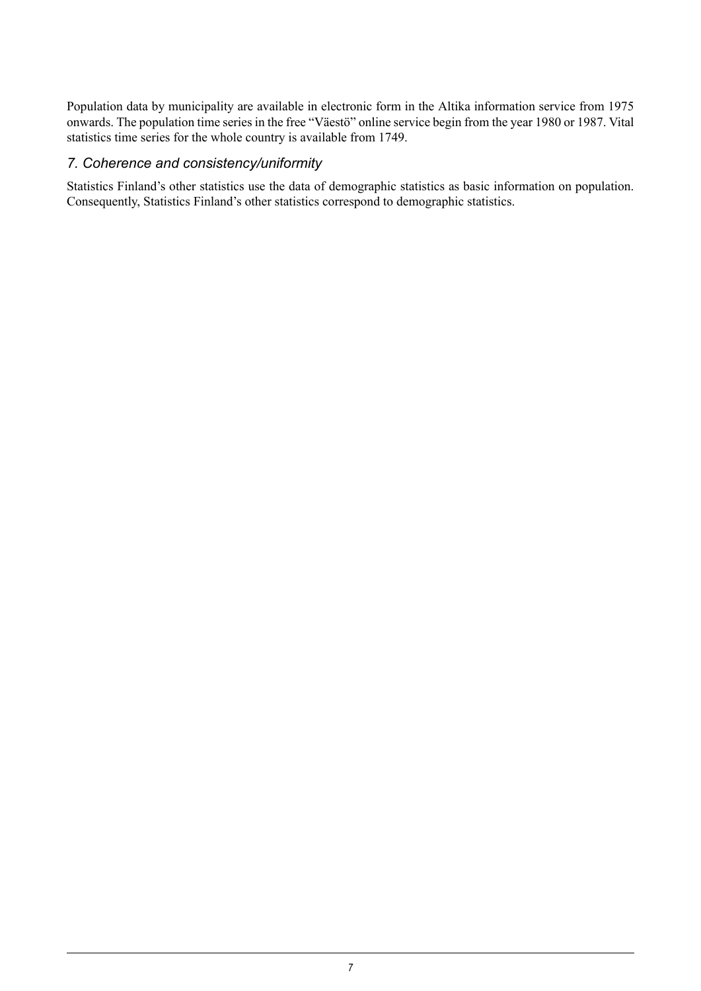Population data by municipality are available in electronic form in the Altika information service from 1975 onwards. The population time series in the free "Väestö" online service begin from the year 1980 or 1987. Vital statistics time series for the whole country is available from 1749.

#### *7. Coherence and consistency/uniformity*

Statistics Finland's other statistics use the data of demographic statistics as basic information on population. Consequently, Statistics Finland's other statistics correspond to demographic statistics.